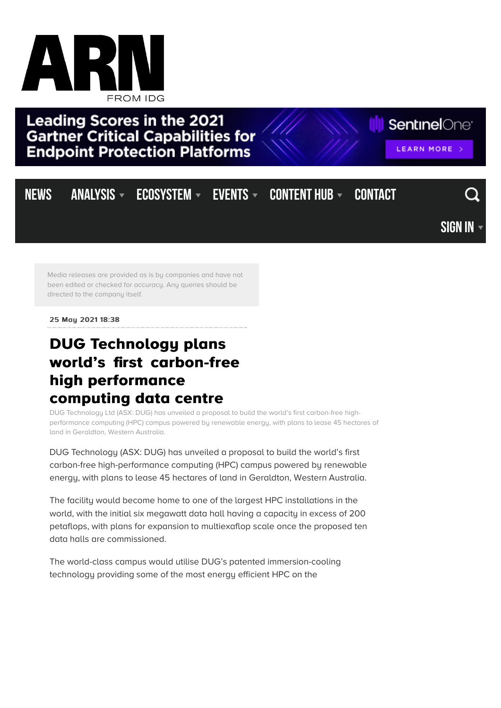

**Leading Scores in the 2021 Gartner Critical Capabilities for Endpoint Protection Platforms** 

**III** SentinelOne<sup>®</sup>

LEARN MORE

## NEWS [ANALYSIS](https://www.arnnet.com.au/mediareleases/141331/dug-technology-plans-worlds-first-carbon-free/#)  $\overline{\phantom{x}}$  ecosystem  $\overline{\phantom{x}}$  events  $\overline{\phantom{x}}$  content Hub  $\overline{\phantom{x}}$  contact [Sign in](https://www.arnnet.com.au/mediareleases/141331/dug-technology-plans-worlds-first-carbon-free/#)

Media releases are provided as is by companies and have not been edited or checked for accuracy. Any queries should be [directed to the company itself.](https://twitter.com/ARNnet/)

25 May 2021 18:38

## **DUG Technology plans world's first carbon-free high performanc high performance** computing data centre

DUG Technology Ltd (ASX: DUG) has unveiled a proposal to build the world's first carbon-free highperformance computing (HPC) campus powered by renewable energy, with plans to lease 45 hectares of land in Geraldton, Western Australia.

DUG Technology (ASX: DUG) has unveiled a proposal to build the world's first carbon-free high-performance computing (HPC) campus powered by renewable energy, with plans to lease 45 hectares of land in Geraldton, Western Australia.

The facility would become home to one of the largest HPC installations in the world, with the initial six megawatt data hall having a capacity in excess of 200 petaflops, with plans for expansion to multiexaflop scale once the proposed ten data halls are commissioned.

The world-class campus would utilise DUG's patented immersion-cooling technology providing some of the most energy efficient HPC on the